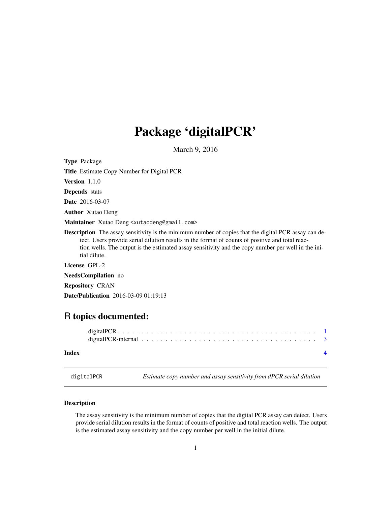## <span id="page-0-0"></span>Package 'digitalPCR'

March 9, 2016

| <b>Type Package</b>                                                                                                                                                                                                                                                                                                                  |
|--------------------------------------------------------------------------------------------------------------------------------------------------------------------------------------------------------------------------------------------------------------------------------------------------------------------------------------|
| <b>Title</b> Estimate Copy Number for Digital PCR                                                                                                                                                                                                                                                                                    |
| <b>Version</b> $1.1.0$                                                                                                                                                                                                                                                                                                               |
| <b>Depends</b> stats                                                                                                                                                                                                                                                                                                                 |
| <b>Date</b> 2016-03-07                                                                                                                                                                                                                                                                                                               |
| <b>Author</b> Xutao Deng                                                                                                                                                                                                                                                                                                             |
| Maintainer Xutao Deng <xutaodeng@gmail.com></xutaodeng@gmail.com>                                                                                                                                                                                                                                                                    |
| <b>Description</b> The assay sensitivity is the minimum number of copies that the digital PCR assay can de-<br>tect. Users provide serial dilution results in the format of counts of positive and total reac-<br>tion wells. The output is the estimated assay sensitivity and the copy number per well in the ini-<br>tial dilute. |
| License GPL-2                                                                                                                                                                                                                                                                                                                        |
| <b>NeedsCompilation</b> no                                                                                                                                                                                                                                                                                                           |
| <b>Repository CRAN</b>                                                                                                                                                                                                                                                                                                               |
| <b>Date/Publication</b> 2016-03-09 01:19:13                                                                                                                                                                                                                                                                                          |
|                                                                                                                                                                                                                                                                                                                                      |
|                                                                                                                                                                                                                                                                                                                                      |

### R topics documented:

| Index |  |  |  |  |  |  |  |  |  |  |  |  |  |  |  |  |  |
|-------|--|--|--|--|--|--|--|--|--|--|--|--|--|--|--|--|--|

digitalPCR *Estimate copy number and assay sensitivity from dPCR serial dilution*

#### Description

The assay sensitivity is the minimum number of copies that the digital PCR assay can detect. Users provide serial dilution results in the format of counts of positive and total reaction wells. The output is the estimated assay sensitivity and the copy number per well in the initial dilute.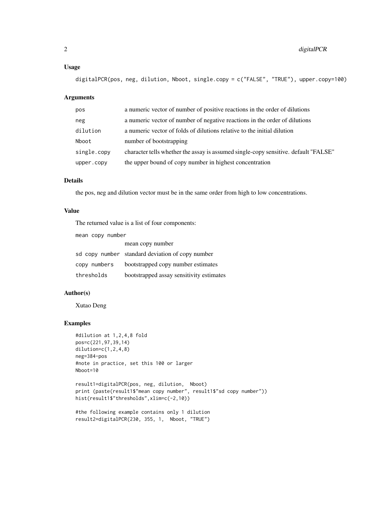#### Usage

digitalPCR(pos, neg, dilution, Nboot, single.copy = c("FALSE", "TRUE"), upper.copy=100)

#### Arguments

| pos         | a numeric vector of number of positive reactions in the order of dilutions          |
|-------------|-------------------------------------------------------------------------------------|
| neg         | a numeric vector of number of negative reactions in the order of dilutions          |
| dilution    | a numeric vector of folds of dilutions relative to the initial dilution             |
| Nboot       | number of bootstrapping                                                             |
| single.copy | character tells whether the assay is assumed single-copy sensitive. default "FALSE" |
| upper.copy  | the upper bound of copy number in highest concentration                             |

#### Details

the pos, neg and dilution vector must be in the same order from high to low concentrations.

#### Value

The returned value is a list of four components:

| mean copy number |                                                  |
|------------------|--------------------------------------------------|
|                  | mean copy number                                 |
|                  | sd copy number standard deviation of copy number |
|                  | copy numbers bootstrapped copy number estimates  |
| thresholds       | bootstrapped assay sensitivity estimates         |

#### Author(s)

Xutao Deng

#### Examples

```
#dilution at 1,2,4,8 fold
pos=c(221,97,39,14)
dilution=c(1,2,4,8)
neg=384-pos
#note in practice, set this 100 or larger
Nboot=10
```

```
result1=digitalPCR(pos, neg, dilution, Nboot)
print (paste(result1$"mean copy number", result1$"sd copy number"))
hist(result1$"thresholds",xlim=c(-2,10))
```

```
#the following example contains only 1 dilution
result2=digitalPCR(230, 355, 1, Nboot, "TRUE")
```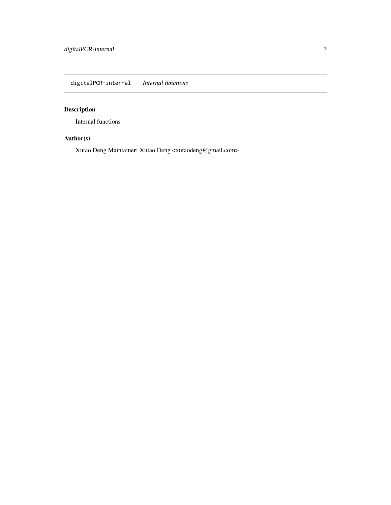<span id="page-2-0"></span>digitalPCR-internal *Internal functions*

#### Description

Internal functions

#### Author(s)

Xutao Deng Maintainer: Xutao Deng <xutaodeng@gmail.com>